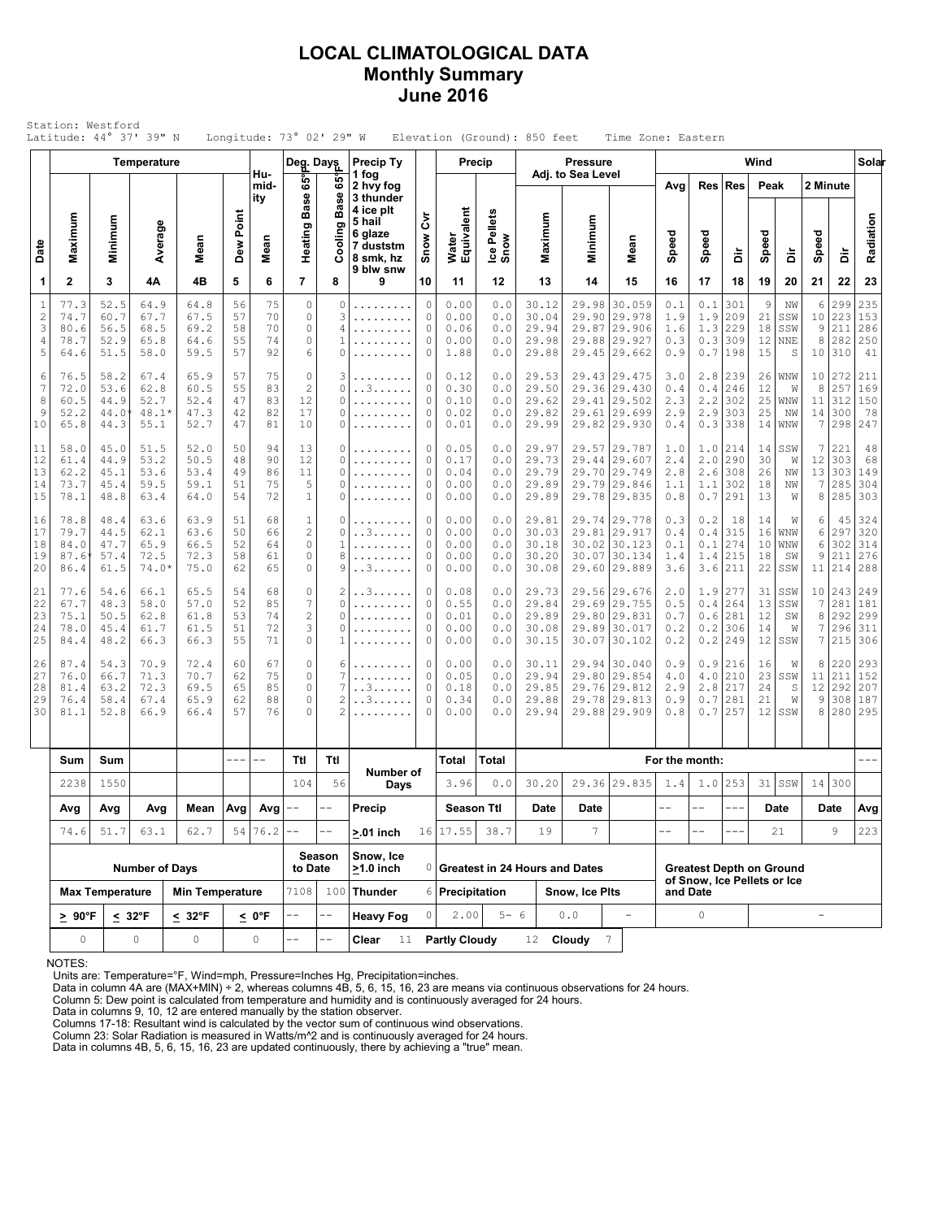## **LOCAL CLIMATOLOGICAL DATA Monthly Summary June 2016**

|                                           | Latitude: 44° 37' 39" N              |                                      |                                         |                                      |                                                                                                                                                                                                                                                                                                                                                                                              |                               | Longitude: $73^{\circ}$ 02' 29" W                                |                                    |                                                                                                 |                                 |                                      |                                 | Elevation (Ground): 850 feet              |                                      | Time Zone: Eastern                                                           |                                         |                                 |                                 |                            |                                     |                         |                                       |                                 |
|-------------------------------------------|--------------------------------------|--------------------------------------|-----------------------------------------|--------------------------------------|----------------------------------------------------------------------------------------------------------------------------------------------------------------------------------------------------------------------------------------------------------------------------------------------------------------------------------------------------------------------------------------------|-------------------------------|------------------------------------------------------------------|------------------------------------|-------------------------------------------------------------------------------------------------|---------------------------------|--------------------------------------|---------------------------------|-------------------------------------------|--------------------------------------|------------------------------------------------------------------------------|-----------------------------------------|---------------------------------|---------------------------------|----------------------------|-------------------------------------|-------------------------|---------------------------------------|---------------------------------|
|                                           |                                      |                                      | <b>Temperature</b>                      |                                      |                                                                                                                                                                                                                                                                                                                                                                                              | Hu-                           | Deg. Days<br>65°                                                 | ဖိ                                 | <b>Precip Ty</b><br>1 fog                                                                       |                                 |                                      | Precip                          |                                           | <b>Pressure</b><br>Adj. to Sea Level |                                                                              |                                         |                                 |                                 | Wind                       |                                     |                         |                                       | Solar                           |
| Date                                      | Maximum                              | Minimum                              | Average                                 | Mean                                 | Dew Point                                                                                                                                                                                                                                                                                                                                                                                    | mid-<br>ity<br>Mean           | <b>Base</b><br>Heating                                           | <b>Base</b><br>Cooling             | 2 hvy fog<br>3 thunder<br>4 ice plt<br>5 hail<br>6 glaze<br>7 duststm<br>8 smk, hz<br>9 blw snw | δ<br>Snow                       | Water<br>Equivalent                  | Ice Pellets<br>Snow             | Maximum                                   | Minimum                              | Mean                                                                         | Avg<br>Speed                            | Res<br>Speed                    | Res<br>à                        | Peak<br>Speed              | ă                                   | 2 Minute<br>Speed       | ă                                     | Radiation                       |
| 1                                         | $\mathbf{2}$                         | 3                                    | 4Α                                      | 4B                                   | 5                                                                                                                                                                                                                                                                                                                                                                                            | 6                             | $\overline{7}$                                                   | 8                                  | 9                                                                                               | 10                              | 11                                   | 12                              | 13                                        | 14                                   | 15                                                                           | 16                                      | 17                              | 18                              | 19                         | 20                                  | 21                      | 22                                    | 23                              |
| $\mathbf{1}$<br>$\sqrt{2}$<br>3<br>4<br>5 | 77.3<br>74.7<br>80.6<br>78.7<br>64.6 | 52.5<br>60.7<br>56.5<br>52.9<br>51.5 | 64.9<br>67.7<br>68.5<br>65.8<br>58.0    | 64.8<br>67.5<br>69.2<br>64.6<br>59.5 | 56<br>57<br>58<br>55<br>57                                                                                                                                                                                                                                                                                                                                                                   | 75<br>70<br>70<br>74<br>92    | $\circ$<br>$\mathbb O$<br>$\circ$<br>$\mathbb O$<br>6            | 0<br>3<br>4<br>0                   | .<br>.                                                                                          | 0<br>0<br>0<br>0<br>0           | 0.00<br>0.00<br>0.06<br>0.00<br>1.88 | 0.0<br>0.0<br>0.0<br>0.0<br>0.0 | 30.12<br>30.04<br>29.94<br>29.98<br>29.88 | 29.98<br>29.87                       | 30.059<br>29.90 29.978<br>29.906<br>29.88 29.927<br>29.45 29.662             | 0.1<br>1.9<br>1.6<br>0.3<br>0.9         | 0.1<br>1.9<br>1.3<br>0.3<br>0.7 | 301<br>209<br>229<br>309<br>198 | 9<br>21<br>18<br>12<br>15  | ΝW<br>SSW<br>SSW<br><b>NNE</b><br>S | 6<br>9<br>8             | 299<br>10 223<br>211<br>282<br>10 310 | 235<br>153<br>286<br>250<br>41  |
| 6<br>7<br>8<br>9<br>10                    | 76.5<br>72.0<br>60.5<br>52.2<br>65.8 | 58.2<br>53.6<br>44.9<br>44.0<br>44.3 | 67.4<br>62.8<br>52.7<br>48.1*<br>55.1   | 65.9<br>60.5<br>52.4<br>47.3<br>52.7 | 57<br>55<br>47<br>42<br>47                                                                                                                                                                                                                                                                                                                                                                   | 75<br>83<br>83<br>82<br>81    | $\circ$<br>$\sqrt{2}$<br>12<br>17<br>10                          | 3<br>0<br>0<br>0<br>0              | . . 3.<br>.                                                                                     | 0<br>0<br>0<br>$\mathbb O$<br>0 | 0.12<br>0.30<br>0.10<br>0.02<br>0.01 | 0.0<br>0.0<br>0.0<br>0.0<br>0.0 | 29.53<br>29.50<br>29.62<br>29.82<br>29.99 | 29.61                                | 29.43 29.475<br>29.36 29.430<br>29.41 29.502<br>29.699<br>29.82 29.930       | 3.0<br>0.4<br>2.3<br>2.9<br>0.4         | 2.8<br>0.4<br>2.2<br>2.9<br>0.3 | 239<br>246<br>302<br>303<br>338 | 26<br>12<br>25<br>25<br>14 | WNW<br>W<br>WNW<br>ΝW<br>WNW        | 8<br>11<br>14<br>7      | 10 272<br>257<br>312<br>300<br>298    | 211<br>169<br>150<br>78<br>247  |
| 11<br>12<br>13<br>14<br>15                | 58.0<br>61.4<br>62.2<br>73.7<br>78.1 | 45.0<br>44.9<br>45.1<br>45.4<br>48.8 | 51.5<br>53.2<br>53.6<br>59.5<br>63.4    | 52.0<br>50.5<br>53.4<br>59.1<br>64.0 | 50<br>48<br>49<br>51<br>54                                                                                                                                                                                                                                                                                                                                                                   | 94<br>90<br>86<br>75<br>72    | 13<br>12<br>11<br>5<br>$\mathbf 1$                               | 0<br>0<br>0<br>0<br>0              | .<br>.<br>.                                                                                     | 0<br>0<br>$\circ$<br>0<br>0     | 0.05<br>0.17<br>0.04<br>0.00<br>0.00 | 0.0<br>0.0<br>0.0<br>0.0<br>0.0 | 29.97<br>29.73<br>29.79<br>29.89<br>29.89 | 29.70                                | 29.57 29.787<br>29.44 29.607<br>29.749<br>29.79 29.846<br>29.78 29.835       | 1.0<br>2.4<br>2.8<br>1.1<br>0.8         | 1.0<br>2.0<br>2.6<br>1.1<br>0.7 | 214<br>290<br>308<br>302<br>291 | 14<br>30<br>26<br>18<br>13 | SSW<br>W<br>NW<br>NW<br>W           | 7<br>12<br>13<br>7<br>8 | 221<br>303<br>303<br>285<br>285       | 48<br>68<br>149<br>304<br>303   |
| 16<br>17<br>18<br>19<br>20                | 78.8<br>79.7<br>84.0<br>87.6<br>86.4 | 48.4<br>44.5<br>47.7<br>57.4<br>61.5 | 63.6<br>62.1<br>65.9<br>72.5<br>$74.0*$ | 63.9<br>63.6<br>66.5<br>72.3<br>75.0 | 51<br>50<br>52<br>58<br>62                                                                                                                                                                                                                                                                                                                                                                   | 68<br>66<br>64<br>61<br>65    | $\mathbf 1$<br>$\overline{c}$<br>$\mathbb O$<br>$\mathbf 0$<br>0 | 0<br>0<br>1<br>8<br>9              | . . 3.<br>. . 3.                                                                                | 0<br>0<br>0<br>0<br>0           | 0.00<br>0.00<br>0.00<br>0.00<br>0.00 | 0.0<br>0.0<br>0.0<br>0.0<br>0.0 | 29.81<br>30.03<br>30.18<br>30.20<br>30.08 | 29.81<br>30.07                       | 29.74 29.778<br>29.917<br>30.02 30.123<br>30.134<br>29.60 29.889             | 0.3<br>0.4<br>0.1<br>1.4<br>3.6         | 0.2<br>0.4<br>0.1<br>1.4<br>3.6 | 18<br>315<br>274<br>215<br> 211 | 14<br>16<br>10<br>18<br>22 | W<br>WNW<br>WNW<br>SW<br>SSW        | 6<br>6<br>6<br>9<br>11  | 45<br>297<br>302<br>211<br>214        | 324<br>320<br>314<br>276<br>288 |
| 21<br>22<br>23<br>24<br>25                | 77.6<br>67.7<br>75.1<br>78.0<br>84.4 | 54.6<br>48.3<br>50.5<br>45.4<br>48.2 | 66.1<br>58.0<br>62.8<br>61.7<br>66.3    | 65.5<br>57.0<br>61.8<br>61.5<br>66.3 | 54<br>52<br>53<br>51<br>55                                                                                                                                                                                                                                                                                                                                                                   | 68<br>85<br>74<br>72<br>71    | 0<br>$\overline{7}$<br>$\sqrt{2}$<br>3<br>$\circ$                | 2<br>0<br>0<br>0<br>1.             | . . 3<br>.                                                                                      | 0<br>0<br>$\circ$<br>0<br>0     | 0.08<br>0.55<br>0.01<br>0.00<br>0.00 | 0.0<br>0.0<br>0.0<br>0.0<br>0.0 | 29.73<br>29.84<br>29.89<br>30.08<br>30.15 |                                      | 29.56 29.676<br>29.69 29.755<br>29.80 29.831<br>29.89 30.017<br>30.07 30.102 | 2.0<br>0.5<br>0.7<br>0.2<br>0.2         | 1.9<br>0.4<br>0.6<br>0.2<br>0.2 | 277<br>264<br>281<br>306<br>249 | 31<br>13<br>12<br>14<br>12 | SSW<br>SSW<br>SW<br>W<br>SSW        | 7<br>8<br>7<br>7        | 10 243<br>281<br>292<br>296<br>215    | 249<br>181<br>299<br>311<br>306 |
| 26<br>27<br>28<br>29<br>30                | 87.4<br>76.0<br>81.4<br>76.4<br>81.1 | 54.3<br>66.7<br>63.2<br>58.4<br>52.8 | 70.9<br>71.3<br>72.3<br>67.4<br>66.9    | 72.4<br>70.7<br>69.5<br>65.9<br>66.4 | 60<br>62<br>65<br>62<br>57                                                                                                                                                                                                                                                                                                                                                                   | 67<br>75<br>85<br>88<br>76    | $\circ$<br>$\mathbb O$<br>$\mathbb O$<br>$\circ$<br>$\Omega$     | 6<br>7<br>7<br>$\overline{c}$<br>2 | . . 3.<br>. . 3                                                                                 | 0<br>0<br>0<br>0<br>0           | 0.00<br>0.05<br>0.18<br>0.34<br>0.00 | 0.0<br>0.0<br>0.0<br>0.0<br>0.0 | 30.11<br>29.94<br>29.85<br>29.88<br>29.94 | 29.80<br>29.78                       | 29.94 30.040<br>29.854<br>29.76 29.812<br>29.813<br>29.88 29.909             | 0.9<br>4.0<br>2.9<br>0.9<br>0.8         | 0.9<br>4.0<br>2.8<br>0.7<br>0.7 | 216<br>210<br>217<br>281<br>257 | 16<br>23<br>24<br>21<br>12 | W<br>SSW<br>$\mathbb S$<br>W<br>SSW | 8<br>11<br>12<br>9<br>8 | 220<br>211<br>292<br>308<br>280       | 293<br>152<br>207<br>187<br>295 |
|                                           | Sum                                  | Sum                                  |                                         |                                      | $\frac{1}{2} \frac{1}{2} \frac{1}{2} \frac{1}{2} \frac{1}{2} \frac{1}{2} \frac{1}{2} \frac{1}{2} \frac{1}{2} \frac{1}{2} \frac{1}{2} \frac{1}{2} \frac{1}{2} \frac{1}{2} \frac{1}{2} \frac{1}{2} \frac{1}{2} \frac{1}{2} \frac{1}{2} \frac{1}{2} \frac{1}{2} \frac{1}{2} \frac{1}{2} \frac{1}{2} \frac{1}{2} \frac{1}{2} \frac{1}{2} \frac{1}{2} \frac{1}{2} \frac{1}{2} \frac{1}{2} \frac{$ | $ -$                          | Ttl                                                              | Ttl                                |                                                                                                 |                                 | Total                                | Total                           |                                           |                                      |                                                                              | For the month:                          |                                 |                                 |                            |                                     |                         |                                       |                                 |
|                                           | 2238                                 | 1550                                 |                                         |                                      |                                                                                                                                                                                                                                                                                                                                                                                              |                               | 104                                                              | 56                                 | Number of<br>Days                                                                               |                                 | 3.96                                 | 0.0                             | 30.20                                     |                                      | 29.36 29.835                                                                 | 1.4                                     | 1.0                             | 253                             |                            | $31$ SSW                            |                         | 14 300                                |                                 |
|                                           | Avg                                  | Avg                                  | Avg                                     | Mean                                 |                                                                                                                                                                                                                                                                                                                                                                                              | Avg $\left $ Avg $\right $ -- |                                                                  |                                    | Precip                                                                                          |                                 | Season Ttl                           |                                 | Date                                      | <b>Date</b>                          |                                                                              | $- -$                                   | $- -$                           |                                 |                            | <b>Date</b>                         |                         | Date                                  | Avg                             |
|                                           | 74.6                                 | 51.7                                 | 63.1                                    | 62.7                                 |                                                                                                                                                                                                                                                                                                                                                                                              | 54 76.2                       | $\rightarrow$ $\rightarrow$                                      | $ -$                               | $>0.01$ inch                                                                                    |                                 | 16 17.55 38.7                        |                                 | 19                                        | 7                                    |                                                                              | $-$                                     |                                 |                                 |                            | 21                                  |                         | 9                                     | 223                             |
|                                           |                                      |                                      | <b>Number of Days</b>                   |                                      |                                                                                                                                                                                                                                                                                                                                                                                              |                               | to Date                                                          | Season                             | Snow, Ice<br>$>1.0$ inch                                                                        |                                 |                                      |                                 | 0 Greatest in 24 Hours and Dates          |                                      |                                                                              |                                         |                                 | <b>Greatest Depth on Ground</b> |                            |                                     |                         |                                       |                                 |
|                                           |                                      | <b>Max Temperature</b>               |                                         | <b>Min Temperature</b>               |                                                                                                                                                                                                                                                                                                                                                                                              |                               | 7108                                                             | 100                                | <b>Thunder</b>                                                                                  |                                 | 6 Precipitation                      |                                 |                                           | Snow, Ice Pits                       |                                                                              | of Snow, Ice Pellets or Ice<br>and Date |                                 |                                 |                            |                                     |                         |                                       |                                 |
|                                           | $\geq 90^{\circ}$ F                  |                                      | $\leq 32^{\circ}$ F                     | $\leq 32^{\circ}$ F                  |                                                                                                                                                                                                                                                                                                                                                                                              | <u>&lt;</u> 0°F               | $-$                                                              | $ -$                               | <b>Heavy Fog</b>                                                                                | 0                               | 2.00                                 | $5 - 6$                         |                                           | 0.0                                  | $\equiv$                                                                     |                                         | $\circ$                         |                                 |                            |                                     | $\equiv$                |                                       |                                 |
|                                           | 0                                    |                                      | 0                                       | 0                                    |                                                                                                                                                                                                                                                                                                                                                                                              | 0                             | $ -$                                                             | $ -$                               | Clear<br>11                                                                                     |                                 | <b>Partly Cloudy</b>                 |                                 | 12                                        | Cloudy                               | $7\phantom{.0}$                                                              |                                         |                                 |                                 |                            |                                     |                         |                                       |                                 |

NOTES:

Units are: Temperature=°F, Wind=mph, Pressure=Inches Hg, Precipitation=inches. Data in column 4A are (MAX+MIN) ÷ 2, whereas columns 4B, 5, 6, 15, 16, 23 are means via continuous observations for 24 hours.

Column 5: Dew point is calculated from temperature and humidity and is continuously averaged for 24 hours.

Data in columns 9, 10, 12 are entered manually by the station observer. Columns 17-18: Resultant wind is calculated by the vector sum of continuous wind observations.

Column 23: Solar Radiation is measured in Watts/m^2 and is continuously averaged for 24 hours.

Data in columns 4B, 5, 6, 15, 16, 23 are updated continuously, there by achieving a "true" mean.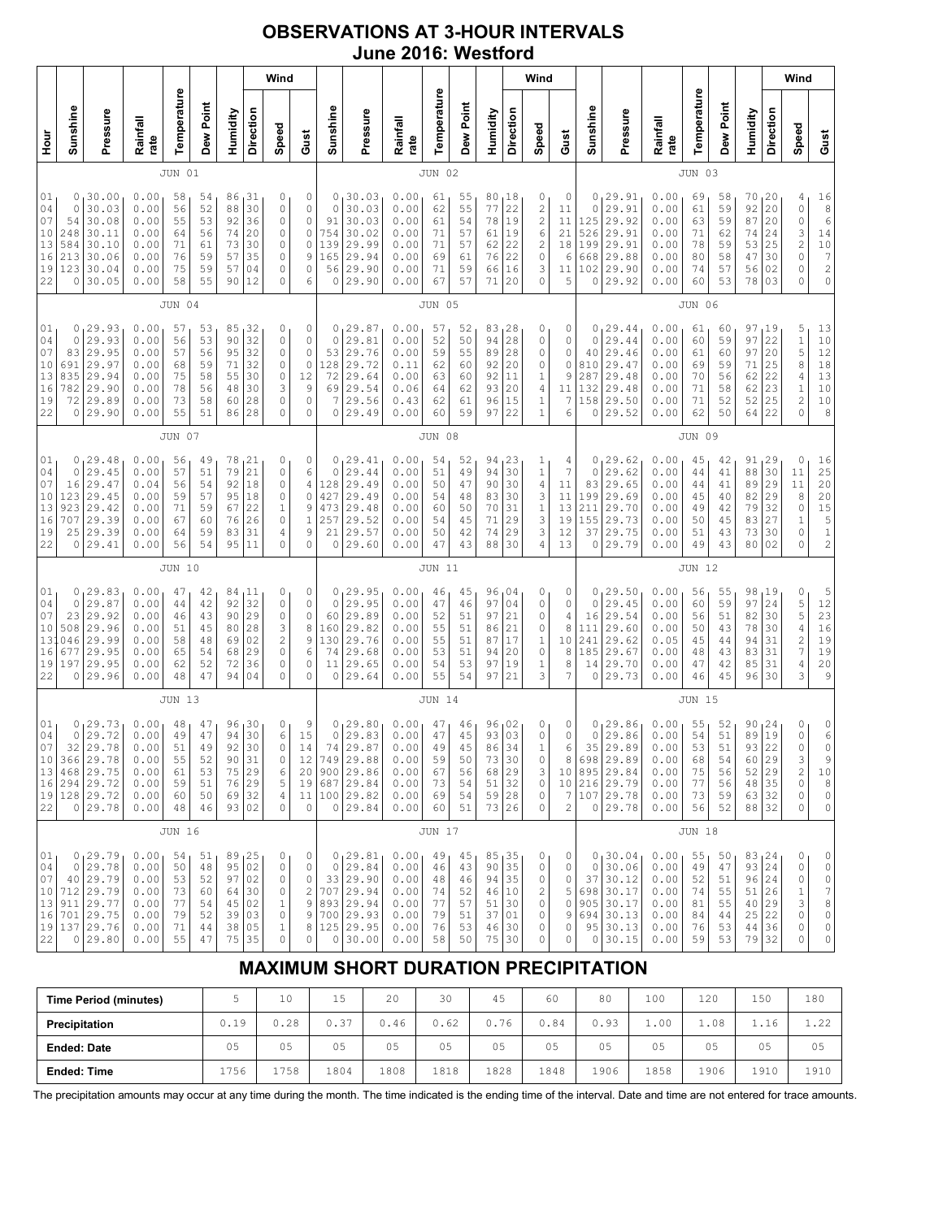## **OBSERVATIONS AT 3-HOUR INTERVALS June 2016: Westford**

|                                                         |                                                                                                     |                                                                                                      |                                              |                                              |                                                              |                                                                             | Wind                                                                                   |                                                               |                                                                     |                                                                         |          |                                                              |                                              |                                              |                                                             |                                                                             | Wind                                                                       |                                                         |                                               |                                                                                               |                                                              |                                                           |                                                           |                                                                       |                                              | Wind                                                                             |                                                                                                         |
|---------------------------------------------------------|-----------------------------------------------------------------------------------------------------|------------------------------------------------------------------------------------------------------|----------------------------------------------|----------------------------------------------|--------------------------------------------------------------|-----------------------------------------------------------------------------|----------------------------------------------------------------------------------------|---------------------------------------------------------------|---------------------------------------------------------------------|-------------------------------------------------------------------------|----------|--------------------------------------------------------------|----------------------------------------------|----------------------------------------------|-------------------------------------------------------------|-----------------------------------------------------------------------------|----------------------------------------------------------------------------|---------------------------------------------------------|-----------------------------------------------|-----------------------------------------------------------------------------------------------|--------------------------------------------------------------|-----------------------------------------------------------|-----------------------------------------------------------|-----------------------------------------------------------------------|----------------------------------------------|----------------------------------------------------------------------------------|---------------------------------------------------------------------------------------------------------|
| Sunshine                                                | Pressure                                                                                            | Rainfall<br>rate                                                                                     | Temperature                                  | Dew Point                                    | Humidity                                                     | Direction                                                                   | Speed                                                                                  | Gust                                                          | Sunshine                                                            |                                                                         | Pressure | Rainfall<br>rate                                             | Temperature                                  | Dew Point                                    | Humidity                                                    | Direction                                                                   | Speed                                                                      | Gust                                                    | Sunshine                                      | Pressure                                                                                      | Rainfall<br>rate                                             | Temperature                                               | Dew Point                                                 | Humidity                                                              | Direction                                    | Speed                                                                            | Gust                                                                                                    |
| <b>JUN 01</b>                                           |                                                                                                     |                                                                                                      |                                              |                                              |                                                              |                                                                             |                                                                                        |                                                               |                                                                     | <b>JUN 02</b>                                                           |          |                                                              |                                              |                                              |                                                             |                                                                             |                                                                            |                                                         | JUN 03                                        |                                                                                               |                                                              |                                                           |                                                           |                                                                       |                                              |                                                                                  |                                                                                                         |
| 0<br>$\mathbf 0$<br>54<br>248<br>584<br>213<br>123<br>0 | 30.00<br>30.03<br>30.08<br>30.11<br>30.10<br>30.06<br>30.04<br>30.05                                | 0.00<br>0.00<br>0.00<br>0.00<br>0.00<br>0.00<br>0.00<br>0.00                                         | 58<br>56<br>55<br>64<br>71<br>76<br>75<br>58 | 54<br>52<br>53<br>56<br>61<br>59<br>59<br>55 | 86<br>88<br>92<br>74<br>73<br>57<br>57<br>90                 | $\begin{array}{c} 31 \\ 30 \end{array}$<br>36<br>20<br>30<br>35<br>04<br>12 | 0<br>$\circ$<br>$\circ$<br>0<br>0<br>0<br>$\circ$<br>$\mathbf 0$                       | 0<br>0<br>$\mathsf{O}\xspace$<br>$\circ$<br>0<br>9<br>0<br>6  | $\circ$<br>91<br>754<br>139<br>165<br>56<br>0                       | 0, 30.03<br>30.03<br>30.03<br>30.02<br>29.99<br>29.94<br>29.90<br>29.90 |          | 0.00<br>0.00<br>0.00<br>0.00<br>0.00<br>0.00<br>0.00<br>0.00 | 61<br>62<br>61<br>71<br>71<br>69<br>71<br>67 | 55<br>55<br>54<br>57<br>57<br>61<br>59<br>57 | 80<br>77<br>78<br>61<br>62<br>76<br>66<br>71                | $\begin{array}{c} 18 \\ 22 \end{array}$<br>19<br>19<br>22<br>22<br>16<br>20 | 0<br>$\sqrt{2}$<br>$\overline{c}$<br>6<br>2<br>$\mathbb O$<br>3<br>0       | 0<br>11<br>11<br>21<br>18<br>6<br>11<br>5               | 0<br>125<br>526<br>199<br>668<br>102<br>0     | 0, 29.91<br>29.91<br>29.92<br>29.91<br>29.91<br>29.88<br>29.90<br>29.92                       | 0.00<br>0.00<br>0.00<br>0.00<br>0.00<br>0.00<br>0.00<br>0.00 | 69<br>61<br>63<br>71<br>78<br>80<br>74<br>60              | 58<br>59<br>59<br>62<br>59<br>58<br>57<br>53              | 70, 20<br>92<br>87<br>74<br>53<br>47<br>56<br>78                      | 20<br>20<br>24<br>25<br>30<br>02<br>  03     | 4<br>$\circ$<br>$\mathbb O$<br>3<br>$\overline{c}$<br>0<br>0<br>0                | $\begin{array}{r} 16 \\ 8 \\ 6 \end{array}$<br>14<br>10<br>$\begin{array}{c} 7 \\ 2 \end{array}$<br>0   |
|                                                         |                                                                                                     |                                                                                                      | <b>JUN 04</b>                                |                                              |                                                              |                                                                             |                                                                                        |                                                               |                                                                     |                                                                         |          |                                                              | <b>JUN 05</b>                                |                                              |                                                             |                                                                             |                                                                            |                                                         |                                               |                                                                                               |                                                              | <b>JUN 06</b>                                             |                                                           |                                                                       |                                              |                                                                                  |                                                                                                         |
| 0<br>0<br>83<br>691<br>835<br>782<br>72<br>0            | 29.93<br>29.93<br>29.95<br>29.97<br>29.94<br>29.90<br>29.89<br>29.90                                | 0.00<br>0.00<br>0.00<br>0.00<br>0.00<br>0.00<br>0.00<br>0.00                                         | 57<br>56<br>57<br>68<br>75<br>78<br>73<br>55 | 53<br>53<br>56<br>59<br>58<br>56<br>58<br>51 | 85<br>90<br>95<br>71<br>55<br>48<br>60<br>86                 | 32<br>32<br>32<br>32<br>30<br>30<br>28<br>28                                | 0<br>$\circ$<br>$\circ$<br>$\circ$<br>0<br>3<br>$\circ$<br>$\mathbf 0$                 | 0<br>$\mathsf{O}\xspace$<br>0<br>$\circ$<br>12<br>9<br>0<br>0 | $\mathbf 0$<br>53<br>128<br>72<br>69<br>7<br>0                      | 0, 29.87<br>29.81<br>29.76<br>29.72<br>29.64<br>29.54<br>29.56<br>29.49 |          | 0.00<br>0.00<br>0.00<br>0.11<br>0.00<br>0.06<br>0.43<br>0.00 | 57<br>52<br>59<br>62<br>63<br>64<br>62<br>60 | 52<br>50<br>55<br>60<br>60<br>62<br>61<br>59 | 83, 28<br>94<br>89<br>92<br>92<br>93<br>96<br>97            | 28<br>28<br>20<br>11<br>20<br>15<br>22                                      | 0<br>0<br>0<br>0<br>1<br>4<br>$1\,$<br>$\mathbf{1}$                        | 0<br>0<br>0<br>0<br>9<br>11<br>7<br>6                   | 0<br>0<br>40<br>810<br>287<br>132<br>158<br>0 | 29.44<br>29.44<br>29.46<br>29.47<br>29.48<br>29.48<br>29.50<br>29.52                          | 0.00<br>0.00<br>0.00<br>0.00<br>0.00<br>0.00<br>0.00<br>0.00 | 61<br>60<br>61<br>69<br>70<br>71<br>71<br>62              | 60<br>59<br>60<br>59<br>56<br>58<br>52<br>50              | 97<br>97<br>97<br>71<br>62<br>62<br>52<br>64                          | 19<br>22<br>20<br>25<br>22<br>23<br>25<br>22 | 5<br>$\mathbf 1$<br>5<br>8<br>4<br>$\mathbf 1$<br>$\overline{c}$<br>$\Omega$     | 13<br>$1\,0$<br>12<br>$18$<br>13<br>$10$<br>$10$<br>8                                                   |
|                                                         |                                                                                                     |                                                                                                      | <b>JUN 07</b>                                |                                              |                                                              |                                                                             |                                                                                        |                                                               |                                                                     |                                                                         |          |                                                              | <b>JUN 08</b>                                |                                              |                                                             |                                                                             |                                                                            |                                                         |                                               |                                                                                               |                                                              | JUN 09                                                    |                                                           |                                                                       |                                              |                                                                                  |                                                                                                         |
| 0<br>0<br>16<br>123<br>923<br>707<br>25<br>0            | 29.48<br>29.45<br>29.47<br>29.45<br>29.42<br>29.39<br>29.39<br>29.41                                | 0.00<br>0.00<br>0.04<br>0.00<br>0.00<br>0.00<br>0.00<br>0.00                                         | 56<br>57<br>56<br>59<br>71<br>67<br>64<br>56 | 49<br>51<br>54<br>57<br>59<br>60<br>59<br>54 | 78<br>79<br>92<br>95<br>67<br>76<br>83<br>95                 | 21<br>21<br>18<br>18<br>22<br>26<br>31<br>11                                | 0<br>$\circ$<br>$\circ$<br>0<br>$\mathbf 1$<br>0<br>4<br>$\mathbf 0$                   | 0<br>6<br>$\overline{4}$<br>0<br>9<br>1<br>9<br>0             | $\circ$<br>128<br>427<br>473<br>257<br>21<br>0                      | 0, 29.41<br>29.44<br>29.49<br>29.49<br>29.48<br>29.52<br>29.57<br>29.60 |          | 0.00<br>0.00<br>0.00<br>0.00<br>0.00<br>0.00<br>0.00<br>0.00 | 54<br>51<br>50<br>54<br>60<br>54<br>50<br>47 | 52<br>49<br>47<br>48<br>50<br>45<br>42<br>43 | 94<br>94<br>90<br>83<br>70<br>71<br>74<br>88                | 23<br>30<br>30<br>30<br>31<br>29<br>29<br>30                                | $\mathbf{1}$<br>$\mathbf 1$<br>$\overline{4}$<br>3<br>$\,1$<br>3<br>3<br>4 | 4<br>$\overline{7}$<br>11<br>11<br>13<br>19<br>12<br>13 | 0<br>0<br>83<br>199<br>211<br>155<br>37<br>0  | 29.62<br>29.62<br>29.65<br>29.69<br>29.70<br>29.73<br>29.75<br>29.79                          | 0.00<br>0.00<br>0.00<br>0.00<br>0.00<br>0.00<br>0.00<br>0.00 | 45<br>44<br>44<br>45<br>49<br>50<br>51<br>49              | 42<br>41<br>41<br>40<br>42<br>45<br>43<br>43              | 91 <sub>1</sub><br>88<br>89<br>82<br>79<br>83<br>73<br>80 02          | 29<br>30<br>29<br>29<br>32<br>27<br>30       | 0<br>11<br>11<br>8<br>0<br>$1\,$<br>0<br>0                                       | 16<br>25<br>20<br>$\begin{array}{c} 20 \\ 15 \end{array}$<br>$\begin{array}{c} 5 \\ 1 \\ 2 \end{array}$ |
|                                                         |                                                                                                     |                                                                                                      | JUN 10                                       |                                              |                                                              |                                                                             |                                                                                        |                                                               |                                                                     |                                                                         |          |                                                              | <b>JUN 11</b>                                |                                              |                                                             |                                                                             |                                                                            |                                                         |                                               |                                                                                               |                                                              | <b>JUN 12</b>                                             |                                                           |                                                                       |                                              |                                                                                  |                                                                                                         |
| 0<br>0<br>23<br>508<br>046<br>677<br>197<br>0           | 29.83<br>29.87<br>29.92<br>29.96<br>29.99<br>29.95<br>29.95<br>29.96                                | 0.00<br>0.00<br>0.00<br>0.00<br>0.00<br>0.00<br>0.00<br>0.00                                         | 47<br>44<br>46<br>51<br>58<br>65<br>62<br>48 | 42<br>42<br>43<br>45<br>48<br>54<br>52<br>47 | 84<br>92<br>90<br>80<br>69<br>68<br>72<br>94                 | 11،<br>32<br>29<br>28<br>02<br>29<br>36<br>04                               | 0<br>$\circ$<br>0<br>3<br>$\overline{\mathbf{c}}$<br>$\circ$<br>$\circ$<br>$\mathbf 0$ | 0<br>0<br>0<br>8<br>9<br>6<br>0<br>0                          | 0<br>$\circ$<br>60<br>160<br>130<br>74<br>11<br>0                   | 129.95<br>29.95<br>29.89<br>29.82<br>29.76<br>29.68<br>29.65<br>29.64   |          | 0.00<br>0.00<br>0.00<br>0.00<br>0.00<br>0.00<br>0.00<br>0.00 | 46<br>47<br>52<br>55<br>55<br>53<br>54<br>55 | 45<br>46<br>51<br>51<br>51<br>51<br>53<br>54 | 96<br>97<br>97<br>86<br>87<br>94<br>97<br>97                | 04 ر<br>04<br>21<br>21<br>17<br>20<br>19<br>21                              | 0<br>0<br>0<br>0<br>1<br>$\circ$<br>$\,1$<br>3                             | $\circ$<br>0<br>4<br>8<br>10<br>8<br>8<br>7             | 0<br>0<br>16<br>111<br>241<br>185<br>14<br>0  | 29.50<br>29.45<br>29.54<br>29.60<br>29.62<br>29.67<br>29.70<br>29.73                          | 0.00<br>0.00<br>0.00<br>0.00<br>0.05<br>0.00<br>0.00<br>0.00 | 56<br>60<br>56<br>50<br>45<br>48<br>47<br>46              | 55<br>59<br>51<br>43<br>44<br>43<br>42<br>45              | 98, 19<br>97<br>82<br>78<br>94<br>83<br>85<br>96                      | 24<br>30<br>30<br>31<br>31<br>31<br>30       | 0<br>5<br>5<br>$\sqrt{4}$<br>$\overline{\mathbf{c}}$<br>$\overline{7}$<br>4<br>3 | 5<br>12<br>$\begin{array}{c} 23 \\ 16 \end{array}$<br>19<br>19<br>20<br>9                               |
|                                                         |                                                                                                     |                                                                                                      | <b>JUN 13</b>                                |                                              |                                                              |                                                                             |                                                                                        |                                                               |                                                                     |                                                                         |          |                                                              | <b>JUN 14</b>                                |                                              |                                                             |                                                                             |                                                                            |                                                         |                                               |                                                                                               |                                                              | <b>JUN 15</b>                                             |                                                           |                                                                       |                                              |                                                                                  |                                                                                                         |
| 0 <sub>1</sub><br>$\mathbb O$<br>32                     | 29.73<br>29.72<br>29.78<br>10 366 29.78<br>13 468 29.75<br>16 294 29.72<br>19 128 29.72<br>0 29.78  | 0.00<br>0.00<br>0.00<br>0.00<br>0.00<br>0.00<br>0.00<br>0.00                                         | 48<br>49<br>51<br>55<br>61<br>59<br>60<br>48 | 47<br>47<br>49<br>52<br>53<br>51<br>50<br>46 | 96<br>94<br>92<br>90<br>75<br>76 29<br>69 32<br>93 02        | 30<br>30<br>30<br>31<br>29                                                  | 0<br>$\epsilon$<br>$\circ$<br>$\circ$<br>6<br>5<br>4<br>0                              | 9<br>$15\,$<br>14<br>12<br>20 <br>19<br>11<br>$\mathbf{0}$    | $\circ$<br>74<br>749 29.88<br>$900$ 29.86<br>687 29.84<br>100 29.82 | 0, 29.80<br>29.83<br>29.87<br>0 29.84                                   |          | 0.00<br>0.00<br>0.00<br>0.00<br>0.00<br>0.00<br>0.00<br>0.00 | 47<br>47<br>49<br>59<br>67<br>73<br>69<br>60 | 46<br>45<br>45<br>50<br>56<br>54<br>54<br>51 | 96<br>93<br>86<br>73<br>68<br>51<br>59 28<br>73 26          | 02 ا<br>03<br>34<br>30<br>29<br>32                                          | 0<br>$\mathbb O$<br>1<br>3<br>0<br>0<br>$\circ$                            | 0<br>0<br>6<br>8<br>$7\phantom{.0}$<br>$\mathbf{2}$     | 0<br>$\circ$<br>35                            | 129.86<br>29.86<br>29.89<br>698 29.89<br>10 895 29.84<br>10 216 29.79<br>107 29.78<br>0 29.78 | 0.00<br>0.00<br>0.00<br>0.00<br>0.00<br>0.00<br>0.00<br>0.00 | 55<br>54<br>53<br>68<br>75<br>77<br>73<br>56              | 52<br>51<br>51<br>54<br>56<br>56<br>59<br>52              | 90, 24<br>89<br>93 22<br>60 29<br>52 29<br>48 35<br>63 32<br>88 32    | 19                                           | 0<br>$\mathbb O$<br>$\circ$<br>3<br>$\overline{c}$<br>0<br>0<br>0                | 0<br>6<br>$\circ$<br>9<br>10<br>8<br>$\mathbb O$<br>$\mathbb O$                                         |
|                                                         |                                                                                                     |                                                                                                      | JUN 16                                       |                                              |                                                              |                                                                             |                                                                                        |                                                               |                                                                     |                                                                         |          |                                                              | <b>JUN 17</b>                                |                                              |                                                             |                                                                             |                                                                            |                                                         |                                               |                                                                                               |                                                              | <b>JUN 18</b>                                             |                                                           |                                                                       |                                              |                                                                                  |                                                                                                         |
|                                                         | 0, 29.79<br>0 29.78<br>40 29.79<br>712 29.79<br>911   29.77<br>701 29.75<br>19 137 29.76<br>0 29.80 | 0.00 <sub>1</sub><br>0.00<br>${\bf 0}$ . ${\bf 0}$ ${\bf 0}$<br>0.00<br>0.00<br>0.00<br>0.00<br>0.00 | 54<br>50<br>53<br>73<br>77<br>79<br>71<br>55 | 51<br>48<br>52<br>60<br>54<br>52<br>44<br>47 | 89, 25<br>95<br>97<br>64 30<br>45<br>39 03<br>38 05<br>75 35 | 02<br>02<br>02                                                              | 0<br>0<br>0<br>0<br>$\mathbf{1}$<br>0<br>1<br>$\circ$                                  | 0<br>0<br>0<br>2<br>9<br>9<br>8<br>0                          | 707 29.94<br>893 29.94<br>700 29.93<br>125 29.95                    | 0, 29.81<br>0 29.84<br>33 29.90<br>0 30.00                              |          | 0.00<br>0.00<br>0.00<br>0.00<br>0.00<br>0.00<br>0.00<br>0.00 | 49<br>46<br>48<br>74<br>77<br>79<br>76<br>58 | 45<br>43<br>46<br>52<br>57<br>51<br>53<br>50 | 85,35<br>90<br>94 35<br>46 10<br>51<br>37<br>46 30<br>75 30 | 35<br>30<br>01                                                              | 0<br>0<br>0<br>$\sqrt{2}$<br>$\circ$<br>0<br>0<br>0                        | 0<br>0<br>0<br>5<br>0<br>9<br>0<br>0                    | $\circ$                                       | 0, 30.04<br>30.06<br>37 30.12<br>698 30.17<br>905 30.17<br>694 30.13<br>95 30.13<br>0 30.15   | 0.00<br>0.00<br>0.00<br>0.00<br>0.00<br>0.00<br>0.00<br>0.00 | 55 <sub>1</sub><br>49<br>52<br>74<br>81<br>84<br>76<br>59 | 50 <sub>1</sub><br>47<br>51<br>55<br>55<br>44<br>53<br>53 | 83, 24<br>93 24<br>96 24<br>51 26<br>40 29<br>25 22<br>44 36<br>79 32 |                                              | 0<br>0<br>0<br>1<br>3<br>0<br>0<br>$\Omega$                                      | 0<br>$\mathbb O$<br>$\mathbb O$<br>$\boldsymbol{7}$<br>8<br>$\mathbb O$<br>$\mathbb O$<br>0             |

# **MAXIMUM SHORT DURATION PRECIPITATION**

| <b>Time Period (minutes)</b> |      | 10   | 15   | 20   | 30   | 45   | 60             | 80   | 100  | 120  | 150             | 180            |
|------------------------------|------|------|------|------|------|------|----------------|------|------|------|-----------------|----------------|
| Precipitation                | 0.19 | 0.28 | 0.37 | 0.46 | 0.62 | 0.76 | 0.84           | ე.93 | 1.00 | .08  | . 6<br><b>1</b> | っっ<br>1.ZZ     |
| <b>Ended: Date</b>           | 05   | 05   | 05   | 05   | 05   | 05   | 0 <sub>5</sub> | 05   | 05   | 05   | 05              | 0 <sub>5</sub> |
| <b>Ended: Time</b>           | 1756 | .758 | 1804 | 1808 | 1818 | 1828 | 1848           | 1906 | 1858 | ⊥906 | 1910            | 1910           |

The precipitation amounts may occur at any time during the month. The time indicated is the ending time of the interval. Date and time are not entered for trace amounts.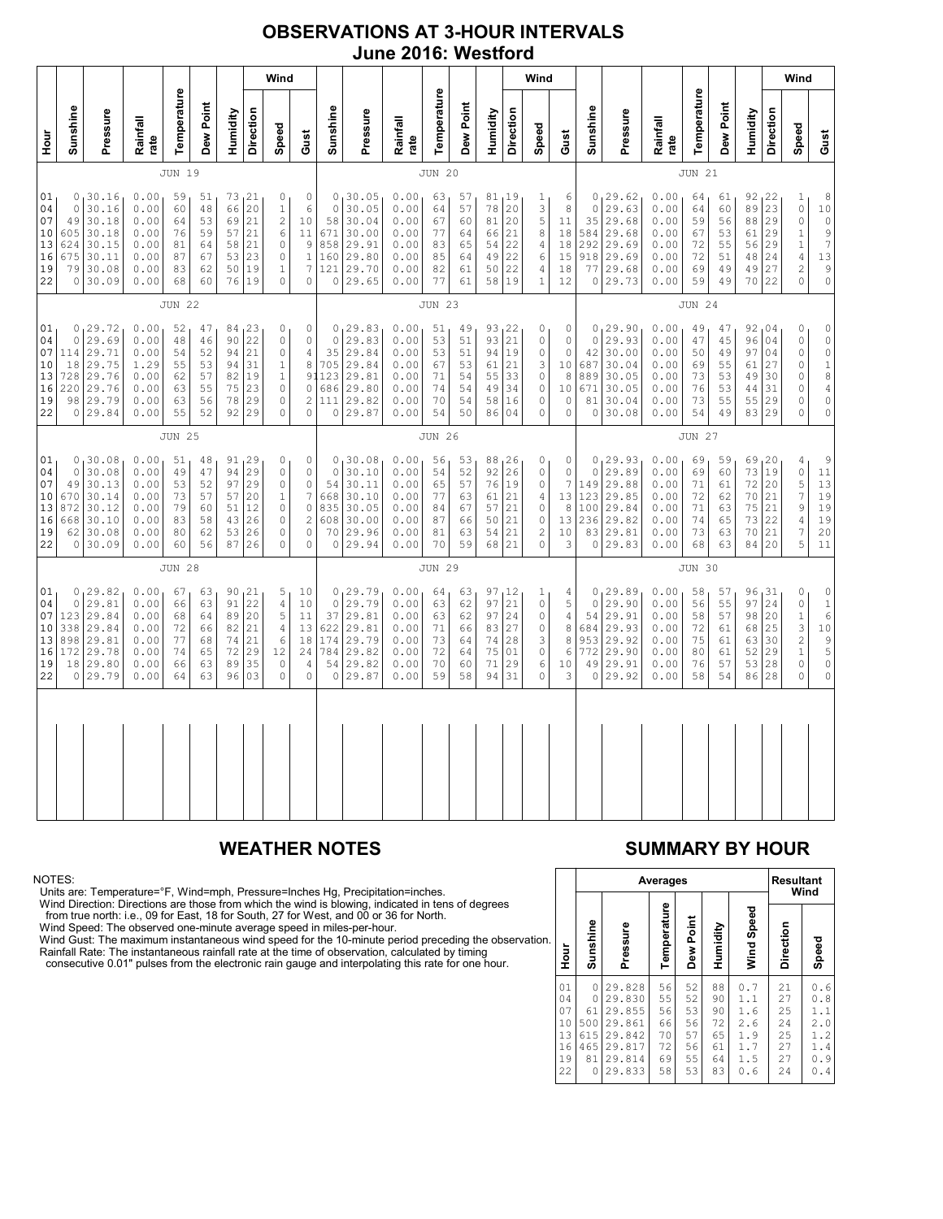### **OBSERVATIONS AT 3-HOUR INTERVALS June 2016: Westford**

|                                              |                                    | Wind                                                                         |                                                              |                                              |                                              |                                              |                                                  |                                                                                                      |                                                                                                            |                                                              |                                                                         |                                                              |                                                           |                                              | Wind                                             |                                                |                                                                                           |                                                                          |                                                                     |                                                                           |                                                              |                                              |                                              | Wind                                             |                                                  |                                                                                                                      |                                                                                                                |
|----------------------------------------------|------------------------------------|------------------------------------------------------------------------------|--------------------------------------------------------------|----------------------------------------------|----------------------------------------------|----------------------------------------------|--------------------------------------------------|------------------------------------------------------------------------------------------------------|------------------------------------------------------------------------------------------------------------|--------------------------------------------------------------|-------------------------------------------------------------------------|--------------------------------------------------------------|-----------------------------------------------------------|----------------------------------------------|--------------------------------------------------|------------------------------------------------|-------------------------------------------------------------------------------------------|--------------------------------------------------------------------------|---------------------------------------------------------------------|---------------------------------------------------------------------------|--------------------------------------------------------------|----------------------------------------------|----------------------------------------------|--------------------------------------------------|--------------------------------------------------|----------------------------------------------------------------------------------------------------------------------|----------------------------------------------------------------------------------------------------------------|
| Hour<br>H                                    | Sunshine                           | Pressure                                                                     | Rainfall<br>rate                                             | Temperature                                  | Dew Point                                    | Humidity                                     | Direction                                        | Speed                                                                                                | Gust                                                                                                       | Sunshine                                                     | Pressure                                                                | Rainfall<br>rate                                             | Temperature                                               | Dew Point                                    | Humidity                                         | Direction                                      | Speed                                                                                     | Gust                                                                     | Sunshine                                                            | Pressure                                                                  | Rainfall<br>rate                                             | Temperature                                  | Dew Point                                    | Humidity                                         | Direction                                        | Speed                                                                                                                | Gust                                                                                                           |
|                                              | JUN 19                             |                                                                              |                                                              |                                              |                                              |                                              |                                                  |                                                                                                      |                                                                                                            | <b>JUN 20</b>                                                |                                                                         |                                                              |                                                           |                                              |                                                  |                                                |                                                                                           |                                                                          | <b>JUN 21</b>                                                       |                                                                           |                                                              |                                              |                                              |                                                  |                                                  |                                                                                                                      |                                                                                                                |
| 01<br>04<br>07<br>10<br>13<br>16<br>19<br>22 | 0<br>49<br>605<br>624<br>675<br>79 | 0, 30.16<br>30.16<br>30.18<br>30.18<br>30.15<br>30.11<br>30.08<br>0 30.09    | 0.00<br>0.00<br>0.00<br>0.00<br>0.00<br>0.00<br>0.00<br>0.00 | 59<br>60<br>64<br>76<br>81<br>87<br>83<br>68 | 51<br>48<br>53<br>59<br>64<br>67<br>62<br>60 | 66<br>69<br>57<br>58<br>53<br>50<br>76       | 73, 21<br>20<br>21<br>21<br>21<br>23<br>19<br>19 | 0<br>$\,1\,$<br>$\overline{c}$<br>6<br>0<br>0<br>$\,1$<br>$\mathbf 0$                                | $\circ$<br>$\epsilon$<br>10<br>11<br>$\mathsf 9$<br>$\,1\,$<br>$\overline{7}$<br>$\mathbf 0$               | 0<br>$\mathbf{0}$<br>58<br>671<br>858<br>160<br>121<br>0     | 30.05<br>30.05<br>30.04<br>30.00<br>29.91<br>29.80<br>29.70<br>29.65    | 0.00<br>0.00<br>0.00<br>0.00<br>0.00<br>0.00<br>0.00<br>0.00 | 63<br>64<br>67<br>77<br>83<br>85<br>82<br>77              | 57<br>57<br>60<br>64<br>65<br>64<br>61<br>61 | 81,19<br>78<br>81<br>66<br>54<br>49<br>50<br>58  | 20<br>20<br>21<br>22<br>22<br>22<br> 19        | $\mathbf{1}$<br>3<br>5<br>$\,8\,$<br>$\overline{4}$<br>6<br>$\overline{4}$<br>$\mathbf 1$ | 6<br>$\,8\,$<br>11<br>18<br>18<br>15<br>18<br>12                         | $\circ$<br>35<br>584<br>292<br>918<br>77                            | 0, 29.62<br>29.63<br>29.68<br>29.68<br>29.69<br>29.69<br>29.68<br>0 29.73 | 0.00<br>0.00<br>0.00<br>0.00<br>0.00<br>0.00<br>0.00<br>0.00 | 64<br>64<br>59<br>67<br>72<br>72<br>69<br>59 | 61<br>60<br>56<br>53<br>55<br>51<br>49<br>49 | 92, 22<br>89<br>88<br>61<br>56<br>48<br>49<br>70 | 23<br>29<br>29<br>29<br>24<br>27<br>22           | $\mathbf{1}$<br>$\mathbb O$<br>$\circ$<br>$\mathbf{1}$<br>$1\,$<br>$\overline{4}$<br>$\sqrt{2}$<br>$\circ$           | 8<br>10<br>$\mathbb O$<br>$\mathsf{S}$<br>$\boldsymbol{7}$<br>13<br>$\mathsf 9$<br>$\circ$                     |
|                                              | <b>JUN 22</b>                      |                                                                              |                                                              |                                              |                                              |                                              |                                                  | <b>JUN 23</b>                                                                                        |                                                                                                            |                                                              |                                                                         |                                                              |                                                           |                                              |                                                  |                                                | <b>JUN 24</b>                                                                             |                                                                          |                                                                     |                                                                           |                                                              |                                              |                                              |                                                  |                                                  |                                                                                                                      |                                                                                                                |
| 01<br>04<br>07<br>10<br>13<br>16<br>19<br>22 | 0<br>114<br>18<br>728<br>220       | 0, 29.72<br>29.69<br>29.71<br>29.75<br>29.76<br>29.76<br>98 29.79<br>0 29.84 | 0.00<br>0.00<br>0.00<br>1.29<br>0.00<br>0.00<br>0.00<br>0.00 | 52<br>48<br>54<br>55<br>62<br>63<br>63<br>55 | 47<br>46<br>52<br>53<br>57<br>55<br>56<br>52 | 90<br>94<br>94<br>82<br>75<br>78<br>92       | 84, 23<br>22<br>21<br>31<br>19<br>23<br>29<br>29 | 0<br>0<br>$\mathbb O$<br>$\,1$<br>$\,1$<br>$\circ$<br>$\circ$<br>$\mathbf 0$                         | $\circ$<br>$\mathbb O$<br>$\sqrt{4}$<br>8<br>$\circ$<br>$\overline{c}$<br>$\circ$                          | $\circ$<br>35<br>705<br>91123<br>686<br>111<br>0             | 0, 29.83<br>29.83<br>29.84<br>29.84<br>29.81<br>29.80<br>29.82<br>29.87 | 0.00<br>0.00<br>0.00<br>0.00<br>0.00<br>0.00<br>0.00<br>0.00 | 51<br>53<br>53<br>67<br>71<br>74<br>70<br>54              | 49<br>51<br>51<br>53<br>54<br>54<br>54<br>50 | 93, 22<br>93<br>94<br>61<br>55<br>49<br>58<br>86 | 21<br> 19<br>21<br>33<br>34<br> 16<br>04       | 0<br>$\circ$<br>$\mathbb O$<br>3<br>$\mathbb O$<br>$\circ$<br>$\circ$<br>0                | 0<br>$\circ$<br>0<br>10<br>8<br>10<br>$\circ$<br>$\circ$                 | $\mathbb O$<br>42<br>687<br>889<br>671<br>81<br>0                   | 0, 29.90<br>29.93<br>30.00<br>30.04<br>30.05<br>30.05<br>30.04<br>30.08   | 0.00<br>0.00<br>0.00<br>0.00<br>0.00<br>0.00<br>0.00<br>0.00 | 49<br>47<br>50<br>69<br>73<br>76<br>73<br>54 | 47<br>45<br>49<br>55<br>53<br>53<br>55<br>49 | 96<br>97<br>61<br>49<br>44<br>55<br>83           | 92,04<br>04<br>04<br>27<br>30<br>31<br>29<br>29  | 0<br>$\mathbb O$<br>$\mathbb O$<br>$\mathbb O$<br>$\circ$<br>$\circ$<br>$\circ$<br>$\circ$                           | $\circ$<br>$\begin{matrix} 0 \\ 0 \end{matrix}$<br>$\frac{1}{8}$<br>$\sqrt{4}$<br>$\circ$<br>$\circ$           |
|                                              | <b>JUN 25</b>                      |                                                                              |                                                              |                                              |                                              |                                              | <b>JUN 26</b>                                    |                                                                                                      |                                                                                                            |                                                              |                                                                         |                                                              |                                                           | <b>JUN 27</b>                                |                                                  |                                                |                                                                                           |                                                                          |                                                                     |                                                                           |                                                              |                                              |                                              |                                                  |                                                  |                                                                                                                      |                                                                                                                |
| 01<br>04<br>07<br>10<br>13<br>16<br>19<br>22 | 0<br>49<br>670<br>872<br>668<br>62 | 0, 30.08<br>30.08<br>30.13<br>30.14<br>30.12<br>30.10<br>30.08<br>0 30.09    | 0.00<br>0.00<br>0.00<br>0.00<br>0.00<br>0.00<br>0.00<br>0.00 | 51<br>49<br>53<br>73<br>79<br>83<br>80<br>60 | 48<br>47<br>52<br>57<br>60<br>58<br>62<br>56 | 94<br>97<br>57<br>51<br>43<br>53<br>87       | 91, 29<br>29<br>29<br>20<br>12<br>26<br>26<br>26 | $\mathbf 0$<br>$\circ$<br>0<br>$\mathbf{1}$<br>$\mathbb O$<br>$\mathbb O$<br>$\mathbb O$<br>$\Omega$ | $\mathbb O$<br>$\mathbb O$<br>$\circ$<br>$\overline{7}$<br>$\circ$<br>$\overline{c}$<br>$\circ$<br>$\circ$ | 0<br>$\mathbf 0$<br>54<br>668<br>835<br>608<br>70<br>$\circ$ | 30.08<br>30.10<br>30.11<br>30.10<br>30.05<br>30.00<br>29.96<br>29.94    | 0.00<br>0.00<br>0.00<br>0.00<br>0.00<br>0.00<br>0.00<br>0.00 | 56 <sub>1</sub><br>54<br>65<br>77<br>84<br>87<br>81<br>70 | 53<br>52<br>57<br>63<br>67<br>66<br>63<br>59 | 88, 26<br>92<br>76<br>61<br>57<br>50<br>54<br>68 | 26<br> 19<br>21<br>21<br>21<br>21<br>21        | 0<br>$\circ$<br>0<br>4<br>$\mathsf{O}\xspace$<br>$\mathbb O$<br>$\sqrt{2}$<br>$\mathbf 0$ | $\mathbb O$<br>$\mathbb O$<br>$7\phantom{.}$<br>13<br>8<br>13<br>10<br>3 | $\circ$<br>149<br>123<br>100<br>236<br>83<br>$\circ$                | 0, 29.93<br>29.89<br>29.88<br>29.85<br>29.84<br>29.82<br>29.81<br>29.83   | 0.00<br>0.00<br>0.00<br>0.00<br>0.00<br>0.00<br>0.00<br>0.00 | 69<br>69<br>71<br>72<br>71<br>74<br>73<br>68 | 59<br>60<br>61<br>62<br>63<br>65<br>63<br>63 | 69<br>73<br>72<br>70<br>75<br>73<br>70<br>84     | 120<br>19<br>20<br>21<br>21<br>22<br>21<br>20    | 4<br>$\mathbb O$<br>5<br>$\overline{7}$<br>9<br>$\overline{4}$<br>$\boldsymbol{7}$<br>5                              | $\begin{array}{c} 9 \\ 11 \\ 13 \end{array}$<br>19<br>19<br>19<br>20<br>$11\,$                                 |
|                                              |                                    |                                                                              |                                                              | <b>JUN 28</b>                                |                                              |                                              |                                                  |                                                                                                      |                                                                                                            |                                                              |                                                                         |                                                              | <b>JUN 29</b>                                             |                                              |                                                  |                                                |                                                                                           |                                                                          |                                                                     |                                                                           |                                                              | <b>JUN 30</b>                                |                                              |                                                  |                                                  |                                                                                                                      |                                                                                                                |
| 01<br>04<br>07<br>10<br>13<br>16<br>19<br>22 | 0<br>123<br>338<br>898<br>172      | 0, 29.82<br>29.81<br>29.84<br>29.84<br>29.81<br>29.78<br>18 29.80<br>0 29.79 | 0.00<br>0.00<br>0.00<br>0.00<br>0.00<br>0.00<br>0.00<br>0.00 | 67<br>66<br>68<br>72<br>77<br>74<br>66<br>64 | 63<br>63<br>64<br>66<br>68<br>65<br>63<br>63 | 90<br>91<br>89<br>82<br>74<br>72<br>89<br>96 | 21<br>22<br>20<br>21<br>21<br>29<br>35<br>03     | 5<br>$\overline{4}$<br>5<br>$\overline{4}$<br>6<br>12<br>0<br>$\circ$                                | 10<br>10<br>11<br>13<br>18<br>24<br>4<br>$\circ$                                                           | $\circ$<br>37<br>622<br>174<br>784<br>54<br>$\circ$          | 0, 29.79<br>29.79<br>29.81<br>29.81<br>29.79<br>29.82<br>29.82<br>29.87 | 0.00<br>0.00<br>0.00<br>0.00<br>0.00<br>0.00<br>0.00<br>0.00 | 64<br>63<br>63<br>71<br>73<br>72<br>70<br>59              | 63<br>62<br>62<br>66<br>64<br>64<br>60<br>58 | 97<br>97<br>97<br>83<br>74<br>75<br>71<br>94     | 12 ا<br>21<br>24<br>27<br>28<br>01<br>29<br>31 | 1<br>$\mathbb O$<br>0<br>$\mathbb O$<br>3<br>$\circ$<br>6<br>$\mathbf 0$                  | 4<br>5<br>$\overline{4}$<br>$\,8\,$<br>$\,8\,$<br>6<br>10<br>3           | $\mathbf{0}$<br>$\circ$<br>54<br>684<br>953<br>772<br>49<br>$\circ$ | 29.89<br>29.90<br>29.91<br>29.93<br>29.92<br>29.90<br>29.91<br>29.92      | 0.00<br>0.00<br>0.00<br>0.00<br>0.00<br>0.00<br>0.00<br>0.00 | 58<br>56<br>58<br>72<br>75<br>80<br>76<br>58 | 57<br>55<br>57<br>61<br>61<br>61<br>57<br>54 | 97<br>98<br>68<br>63<br>52<br>53<br>86           | 96, 31<br>24<br>20<br>25<br>30<br>29<br>28<br>28 | 0<br>$\mathbb O$<br>$\mathbf 1$<br>$\ensuremath{\mathsf{3}}$<br>$\sqrt{2}$<br>$\mathbf{1}$<br>$\circ$<br>$\mathbb O$ | $\begin{matrix}0\\1\\6\end{matrix}$<br>$10$<br>$\begin{array}{c} 9 \\ 5 \end{array}$<br>$\mathbb O$<br>$\circ$ |
|                                              |                                    |                                                                              |                                                              |                                              |                                              |                                              |                                                  |                                                                                                      |                                                                                                            |                                                              |                                                                         |                                                              |                                                           |                                              |                                                  |                                                |                                                                                           |                                                                          |                                                                     |                                                                           |                                                              |                                              |                                              |                                                  |                                                  |                                                                                                                      |                                                                                                                |

NOTES:<br>Units are: Temperature=°F, Wind=mph, Pressure=Inches Hg, Precipitation=inches.<br>Units are: Temperature=°F, Wind=mph, Pressure=Inches Hg, Precipitation=inches.<br>from true north: i.e., 09 for East, 18 for South, 27 for

## **WEATHER NOTES SUMMARY BY HOUR**

|    |                                              |                                              |                                                                              | Averages                                     |                                              |                                              |                                                      | <b>Resultant</b><br>Wind                     |                                                                   |  |  |  |
|----|----------------------------------------------|----------------------------------------------|------------------------------------------------------------------------------|----------------------------------------------|----------------------------------------------|----------------------------------------------|------------------------------------------------------|----------------------------------------------|-------------------------------------------------------------------|--|--|--|
| n. | Hour                                         | Sunshine                                     | Pressure                                                                     | Temperature                                  | Dew Point                                    | Humidity                                     | Wind Speed                                           | Direction                                    | Speed                                                             |  |  |  |
|    | 01<br>04<br>07<br>10<br>13<br>16<br>19<br>22 | 0<br>0<br>61<br>500<br>615<br>465<br>81<br>0 | 29.828<br>29.830<br>29.855<br>29.861<br>29.842<br>29.817<br>29.814<br>29.833 | 56<br>55<br>56<br>66<br>70<br>72<br>69<br>58 | 52<br>52<br>53<br>56<br>57<br>56<br>55<br>53 | 88<br>90<br>90<br>72<br>65<br>61<br>64<br>83 | 0.7<br>1.1<br>1.6<br>2.6<br>1.9<br>1.7<br>1.5<br>0.6 | 21<br>27<br>25<br>24<br>25<br>27<br>27<br>24 | 0.6<br>0<br>.8<br>1.1<br>2.0<br>1.2<br>1.4<br>0<br>. 9<br>0<br>.4 |  |  |  |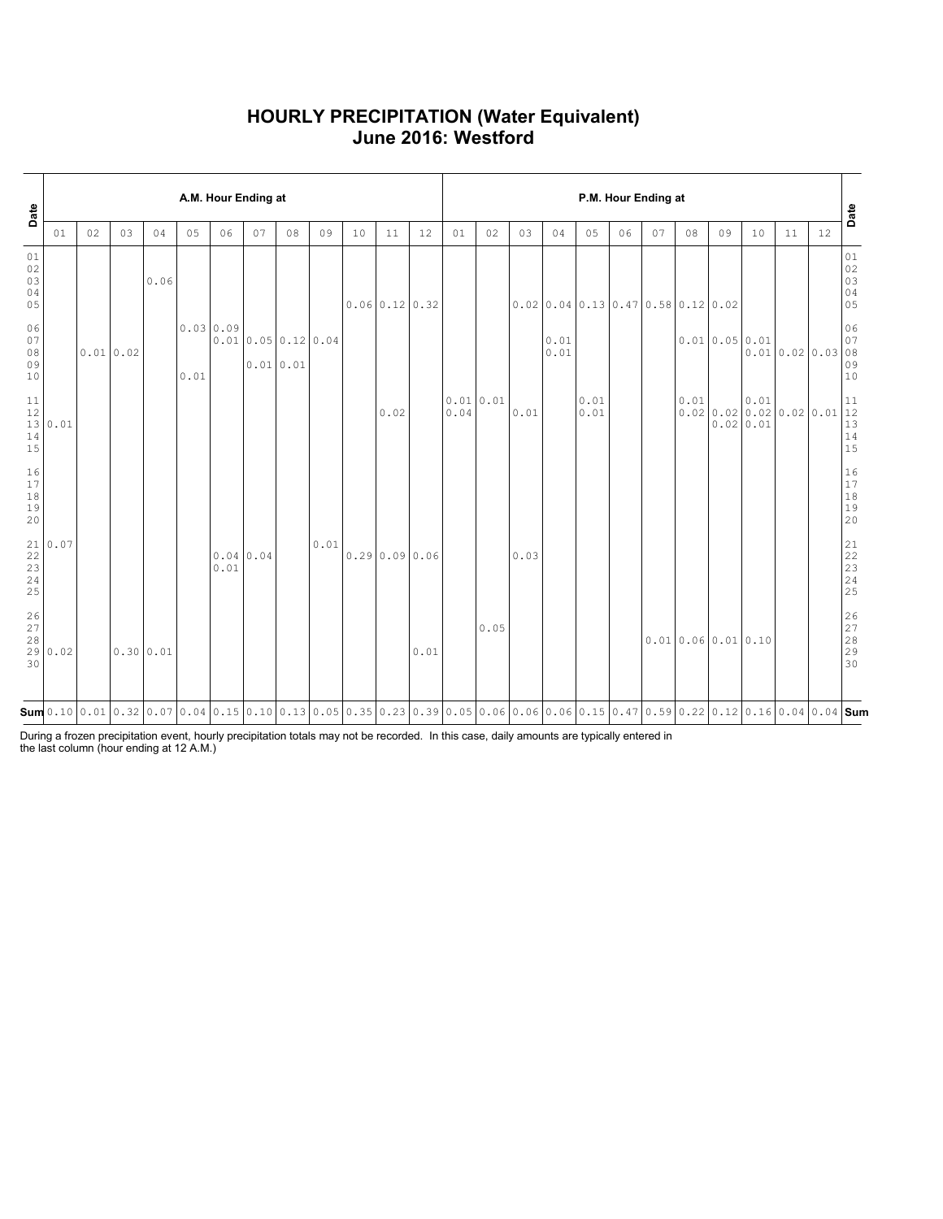### **HOURLY PRECIPITATION (Water Equivalent) June 2016: Westford**

| Date                           |                                                       |    |          |           |      | A.M. Hour Ending at |                  |          |      |    |                                                                                                                                                                                                                                                                                                                                |      | P.M. Hour Ending at |      |      |              |                                      |    |    |      |                                       |      |              |    | Date                                                      |
|--------------------------------|-------------------------------------------------------|----|----------|-----------|------|---------------------|------------------|----------|------|----|--------------------------------------------------------------------------------------------------------------------------------------------------------------------------------------------------------------------------------------------------------------------------------------------------------------------------------|------|---------------------|------|------|--------------|--------------------------------------|----|----|------|---------------------------------------|------|--------------|----|-----------------------------------------------------------|
|                                | 01                                                    | 02 | 03       | 04        | 05   | 06                  | 07               | 08       | 09   | 10 | 11                                                                                                                                                                                                                                                                                                                             | 12   | 01                  | 02   | 03   | 04           | 05                                   | 06 | 07 | 08   | 09                                    | 10   | 11           | 12 |                                                           |
| 01<br>02<br>03<br>04<br>05     |                                                       |    |          | 0.06      |      |                     |                  |          |      |    | 0.06 0.12 0.32                                                                                                                                                                                                                                                                                                                 |      |                     |      |      |              | $0.02$ 0.04 0.13 0.47 0.58 0.12 0.02 |    |    |      |                                       |      |              |    | 01<br>$\begin{array}{c} 02 \\ 03 \end{array}$<br>04<br>05 |
| 06<br>07<br>$08$<br>09<br>10   |                                                       |    | 0.010.02 |           | 0.01 | 0.0300.09           | 0.010.050.120.04 | 0.010.01 |      |    |                                                                                                                                                                                                                                                                                                                                |      |                     |      |      | 0.01<br>0.01 |                                      |    |    |      | 0.010.050.01                          |      | 0.010.020.03 |    | 06<br>07<br>08<br>09<br>10                                |
| 14<br>15                       | $\begin{array}{c c} 11 & 12 \\ 12 & 0.01 \end{array}$ |    |          |           |      |                     |                  |          |      |    | 0.02                                                                                                                                                                                                                                                                                                                           |      | 0.010.01<br>0.04    |      | 0.01 |              | 0.01<br>0.01                         |    |    | 0.01 | 0.0200.0200.0200.0200.01<br>0.02 0.01 | 0.01 |              |    | 11<br>12<br>13<br>$\begin{array}{c} 14 \\ 15 \end{array}$ |
| 16<br>17<br>$1\,8$<br>19<br>20 |                                                       |    |          |           |      |                     |                  |          |      |    |                                                                                                                                                                                                                                                                                                                                |      |                     |      |      |              |                                      |    |    |      |                                       |      |              |    | 16<br>$17$<br>$18$<br>$19$<br>20                          |
| 23<br>24<br>25                 | $\begin{array}{c c} 21 & 0.07 \\ 22 & \end{array}$    |    |          |           |      | 0.01                | 0.04 0.04        |          | 0.01 |    | 0.29 0.09 0.06                                                                                                                                                                                                                                                                                                                 |      |                     |      | 0.03 |              |                                      |    |    |      |                                       |      |              |    | $21$<br>$22$<br>$23$<br>$24$<br>25                        |
| 26<br>27<br>$28$<br>29<br>30   | 0.02                                                  |    |          | 0.30 0.01 |      |                     |                  |          |      |    |                                                                                                                                                                                                                                                                                                                                | 0.01 |                     | 0.05 |      |              |                                      |    |    |      | 0.010.060.010.10                      |      |              |    | 26<br>$\frac{27}{28}$<br>28<br>29<br>30                   |
|                                |                                                       |    |          |           |      |                     |                  |          |      |    | $\mathsf{Sum}$ 0.10 $\mid$ 0.01 $\mid$ 0.32 $\mid$ 0.07 $\mid$ 0.04 $\mid$ 0.15 $\mid$ 0.10 $\mid$ 0.13 $\mid$ 0.05 $\mid$ 0.05 $\mid$ 0.23 $\mid$ 0.23 $\mid$ 0.03 $\mid$ 0.06 $\mid$ 0.06 $\mid$ 0.06 $\mid$ 0.06 $\mid$ 0.15 $\mid$ 0.47 $\mid$ 0.59 $\mid$ 0.22 $\mid$ 0.12 $\mid$ 0.16 $\mid$ 0.04 $\mid$ 0.04 $\mid$ Sum |      |                     |      |      |              |                                      |    |    |      |                                       |      |              |    |                                                           |

During a frozen precipitation event, hourly precipitation totals may not be recorded. In this case, daily amounts are typically entered in the last column (hour ending at 12 A.M.)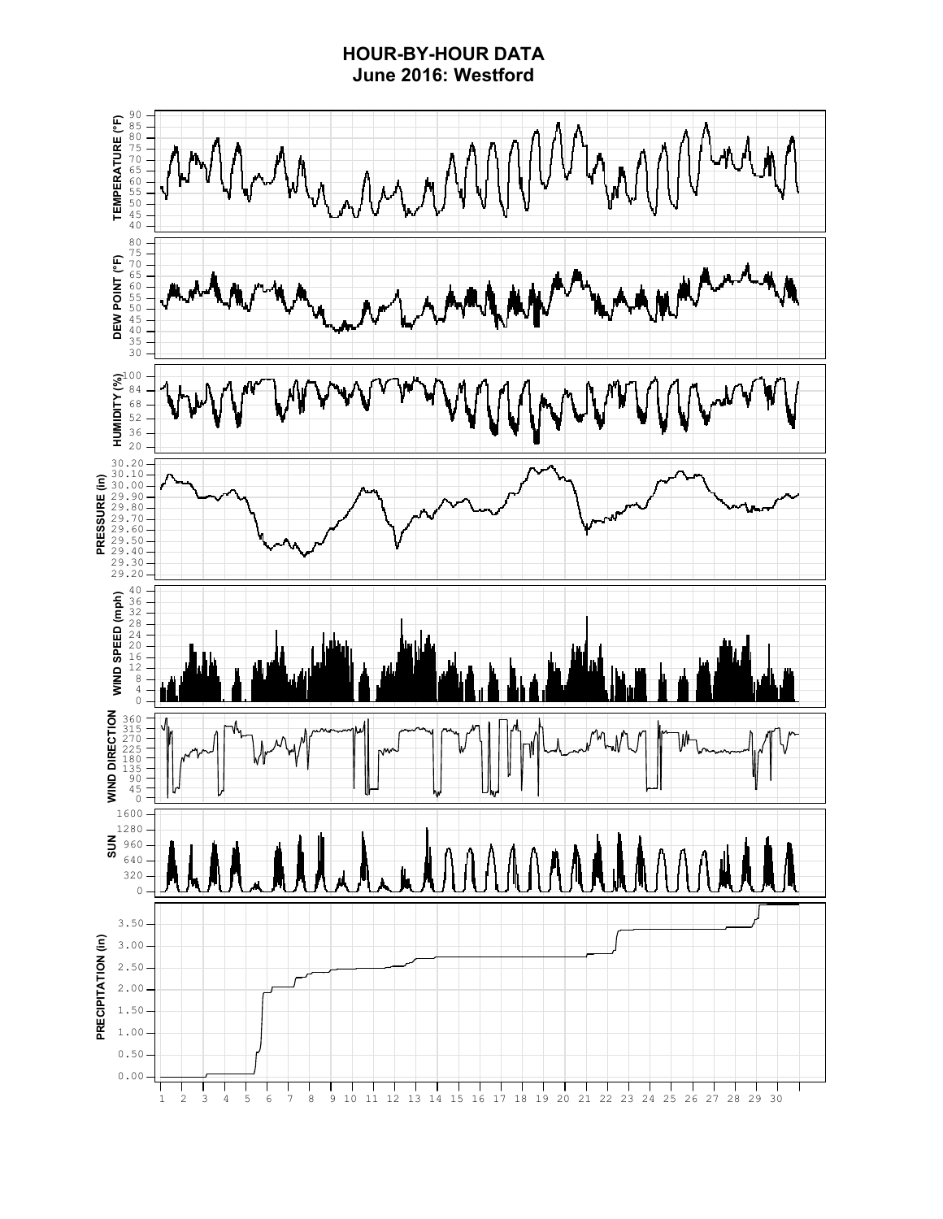### **HOUR-BY-HOUR DATA June 2016: Westford**